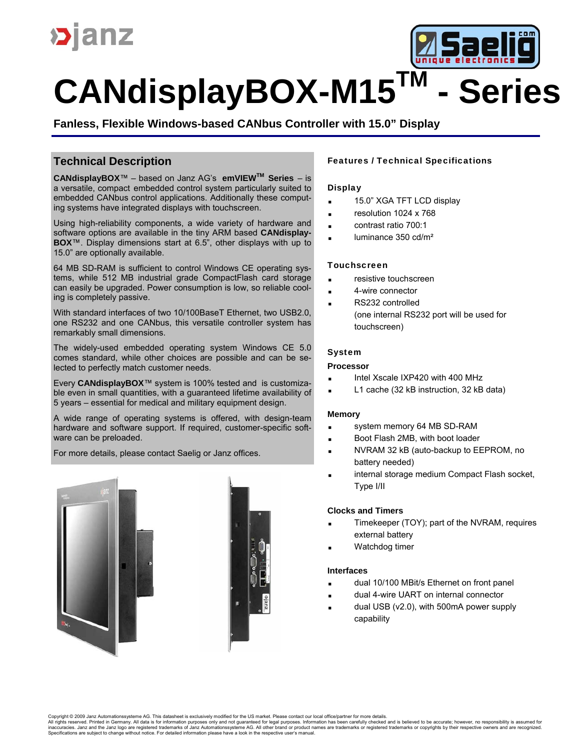



**Fanless, Flexible Windows-based CANbus Controller with 15.0" Display**

## **Technical Description**

**CANdisplayBOX**™ – based on Janz AG's **emVIEWTM Series** – is a versatile, compact embedded control system particularly suited to embedded CANbus control applications. Additionally these computing systems have integrated displays with touchscreen.

Using high-reliability components, a wide variety of hardware and software options are available in the tiny ARM based **CANdisplay-BOX**™. Display dimensions start at 6.5", other displays with up to 15.0" are optionally available.

64 MB SD-RAM is sufficient to control Windows CE operating systems, while 512 MB industrial grade CompactFlash card storage can easily be upgraded. Power consumption is low, so reliable cooling is completely passive.

With standard interfaces of two 10/100BaseT Ethernet, two USB2.0, one RS232 and one CANbus, this versatile controller system has remarkably small dimensions.

The widely-used embedded operating system Windows CE 5.0 comes standard, while other choices are possible and can be selected to perfectly match customer needs.

Every **CANdisplayBOX**™ system is 100% tested and is customizable even in small quantities, with a guaranteed lifetime availability of 5 years – essential for medical and military equipment design.

A wide range of operating systems is offered, with design-team hardware and software support. If required, customer-specific software can be preloaded.

For more details, please contact Saelig or Janz offices.





#### **Display**

- 15.0" XGA TFT LCD display
- **resolution 1024 x 768**
- contrast ratio 700:1
- $\blacksquare$  luminance 350 cd/m<sup>2</sup>

#### **Touchscreen**

- resistive touchscreen
- 4-wire connector
	- RS232 controlled (one internal RS232 port will be used for touchscreen)

## System

#### **Processor**

- Intel Xscale IXP420 with 400 MHz
- L1 cache (32 kB instruction, 32 kB data)

#### **Memory**

- system memory 64 MB SD-RAM
- Boot Flash 2MB, with boot loader
- NVRAM 32 kB (auto-backup to EEPROM, no battery needed)
- internal storage medium Compact Flash socket, Type I/II

#### **Clocks and Timers**

- Timekeeper (TOY); part of the NVRAM, requires external battery
- Watchdog timer

#### **Interfaces**

- dual 10/100 MBit/s Ethernet on front panel
- dual 4-wire UART on internal connector
- dual USB (v2.0), with 500mA power supply capability

Copyright © 2009 Janz Automationssysteme AG. This datasheet is exclusively modified for the US market. Please contact our local office/partner for more details.<br>All rights reserved. Printed in Germany. All data is for info